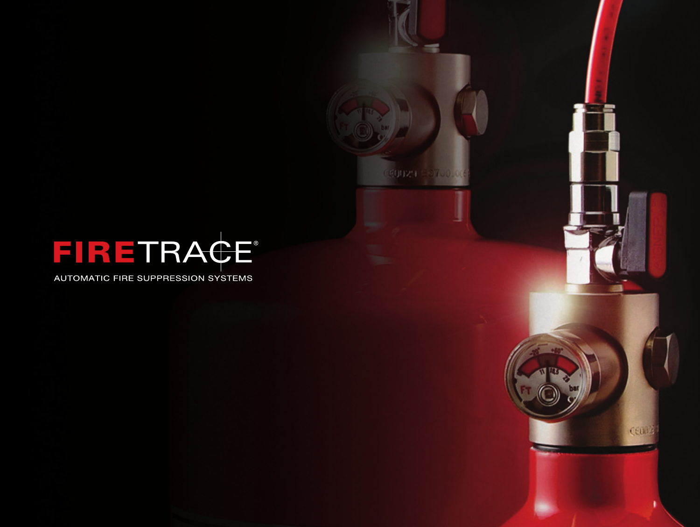

**COUZU SOTODICE** 

centz

AUTOMATIC FIRE SUPPRESSION SYSTEMS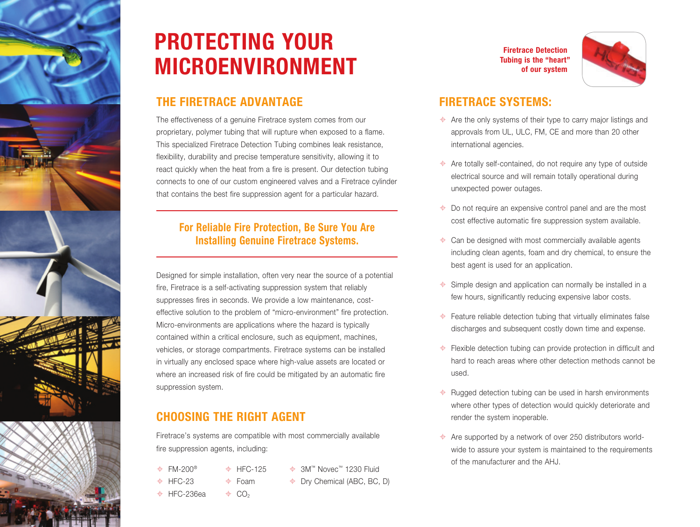



## **PROTECTING YOUR MICROENVIRONMENT**

## **THE FIRETRACE ADVANTAGE**

The effectiveness of a genuine Firetrace system comes from our proprietary, polymer tubing that will rupture when exposed to a flame. This specialized Firetrace Detection Tubing combines leak resistance, flexibility, durability and precise temperature sensitivity, allowing it to react quickly when the heat from a fire is present. Our detection tubing connects to one of our custom engineered valves and a Firetrace cylinder that contains the best fire suppression agent for a particular hazard.

### **For Reliable Fire Protection, Be Sure You Are Installing Genuine Firetrace Systems.**

Designed for simple installation, often very near the source of a potential fire, Firetrace is a self-activating suppression system that reliably suppresses fires in seconds. We provide a low maintenance, costeffective solution to the problem of "micro-environment" fire protection. Micro-environments are applications where the hazard is typically contained within a critical enclosure, such as equipment, machines, vehicles, or storage compartments. Firetrace systems can be installed in virtually any enclosed space where high-value assets are located or where an increased risk of fire could be mitigated by an automatic fire suppression system.

## **CHOOSING THE RIGHT AGENT**

Firetrace's systems are compatible with most commercially available fire suppression agents, including:

- $\div$  FM-200<sup>®</sup> HFC-23  $\oplus$  HFC-236ea  $\div$  HFC-125  $\triangle$  Foam
- 3M™ Novec™ 1230 Fluid  $\triangleq$  Dry Chemical (ABC, BC, D)

**Firetrace Detection Tubing is the "heart" of our system**



## **FIRETRACE SYSTEMS:**

- $\triangle$  Are the only systems of their type to carry major listings and approvals from UL, ULC, FM, CE and more than 20 other international agencies.
- $\triangle$  Are totally self-contained, do not require any type of outside electrical source and will remain totally operational during unexpected power outages.
- $\triangleq$  Do not require an expensive control panel and are the most cost effective automatic fire suppression system available.
- $\triangle$  Can be designed with most commercially available agents including clean agents, foam and dry chemical, to ensure the best agent is used for an application.
- $\triangleq$  Simple design and application can normally be installed in a few hours, significantly reducing expensive labor costs.
- $\triangleq$  Feature reliable detection tubing that virtually eliminates false discharges and subsequent costly down time and expense.
- $\triangleq$  Flexible detection tubing can provide protection in difficult and hard to reach areas where other detection methods cannot be used.
- $\triangleq$  Rugged detection tubing can be used in harsh environments where other types of detection would quickly deteriorate and render the system inoperable.
- $\triangleq$  Are supported by a network of over 250 distributors worldwide to assure your system is maintained to the requirements of the manufacturer and the AH.I.

 $\triangleleft$  CO<sub>2</sub>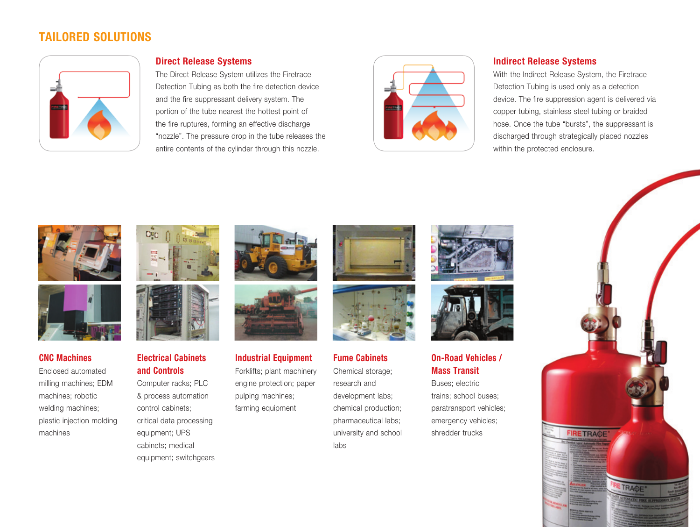## **TAILORED SOLUTIONS**



#### **Direct Release Systems**

The Direct Release System utilizes the Firetrace Detection Tubing as both the fire detection device and the fire suppressant delivery system. The portion of the tube nearest the hottest point of the fire ruptures, forming an effective discharge "nozzle". The pressure drop in the tube releases the entire contents of the cylinder through this nozzle.



#### **Indirect Release Systems**

With the Indirect Release System, the Firetrace Detection Tubing is used only as a detection device. The fire suppression agent is delivered via copper tubing, stainless steel tubing or braided hose. Once the tube "bursts", the suppressant is discharged through strategically placed nozzles within the protected enclosure.





#### **CNC Machines**

Enclosed automated milling machines; EDM machines; robotic welding machines; plastic injection molding machines





#### **Electrical Cabinets and Controls**

Computer racks; PLC & process automation control cabinets; critical data processing equipment; UPS cabinets; medical equipment; switchgears





#### **Industrial Equipment** Forklifts; plant machinery engine protection; paper

pulping machines; farming equipment





## **Fume Cabinets**

Chemical storage; research and development labs; chemical production; pharmaceutical labs; university and school labs





#### **On-Road Vehicles / Mass Transit**

Buses; electric trains; school buses; paratransport vehicles; emergency vehicles; shredder trucks